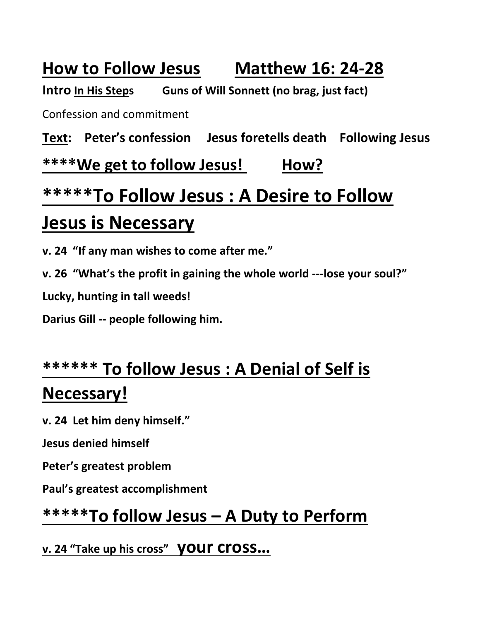### **How to Follow Jesus Matthew 16: 24-28**

**Intro In His Steps Guns of Will Sonnett (no brag, just fact)**

Confession and commitment

**Text: Peter's confession Jesus foretells death Following Jesus**

**\*\*\*\*We get to follow Jesus! How?**

# **\*\*\*\*\*To Follow Jesus : A Desire to Follow Jesus is Necessary**

**v. 24 "If any man wishes to come after me."**

**v. 26 "What's the profit in gaining the whole world ---lose your soul?"**

**Lucky, hunting in tall weeds!**

**Darius Gill -- people following him.**

## **\*\*\*\*\*\* To follow Jesus : A Denial of Self is Necessary!**

**v. 24 Let him deny himself."**

**Jesus denied himself**

**Peter's greatest problem**

**Paul's greatest accomplishment**

#### **\*\*\*\*\*To follow Jesus – A Duty to Perform**

**v. 24 "Take up his cross" your cross…**